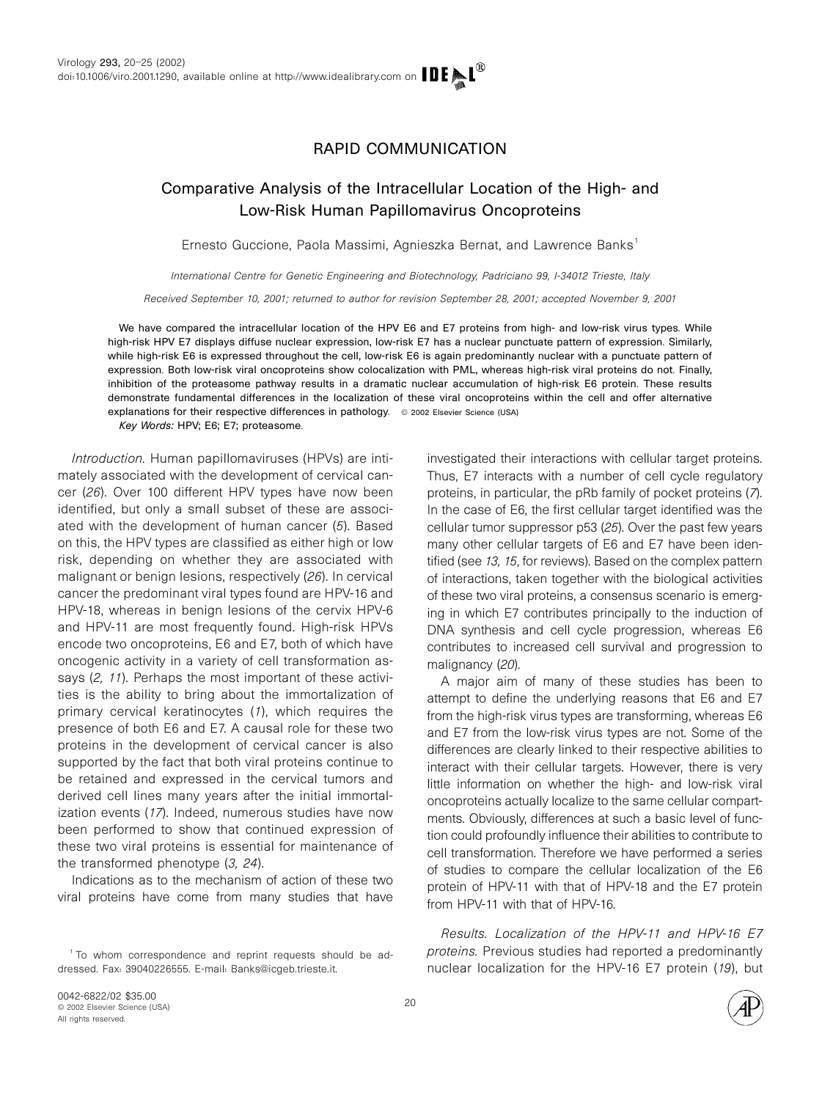## RAPID COMMUNICATION

## Comparative Analysis of the Intracellular Location of the High-and Low-Risk Human Papillomavirus Oncoproteins

Ernesto Guccione, Paola Massimi, Agnieszka Bernat, and Lawrence Banks<sup>1</sup>

International Centre for Genetic Engineering and Biotechnology, Padriciano 99, I-34012 Trieste, Italy

Received September 10, 2001; returned to author for revision September 28, 2001; accepted November 9, 2001

We have compared the intracellular location of the HPV E6 and E7 proteins from high-and low-risk virus types. While high-risk HPV E7 displays diffuse nuclear expression, low-risk E7 has a nuclear punctuate pattern of expression. Similarly, while high-risk E6 is expressed throughout the cell, low-risk E6 is again predominantly nuclear with a punctuate pattern of expression. Both low-risk viral oncoproteins show colocalization with PML, whereas high-risk viral proteins do not. Finally, inhibition of the proteasome pathway results in a dramatic nuclear accumulation of high-risk E6 protein. These results demonstrate fundamental differences in the localization of these viral oncoproteins within the cell and offer alternative explanations for their respective differences in pathology. © 2002 Elsevier Science (USA)

Key Words: HPV; E6; E7; proteasome.

Introduction. Human papillomaviruses (HPVs) are intimately associated with the development of cervical cancer (26). Over 100 different HPV types have now been identified, but only a small subset of these are associated with the development of human cancer (5). Based on this, the HPV types are classified as either high or low risk, depending on whether they are associated with malignant or benign lesions, respectively (26). In cervical cancer the predominant viral types found are HPV-16 and HPV-18, whereas in benign lesions of the cervix HPV-6 and HPV-11 are most frequently found. High-risk HPVs encode two oncoproteins, E6 and E7, both of which have oncogenic activity in a variety of cell transformation assays (2, 11). Perhaps the most important of these activities is the ability to bring about the immortalization of primary cervical keratinocytes (1), which requires the presence of both E6 and E7. A causal role for these two proteins in the development of cervical cancer is also supported by the fact that both viral proteins continue to be retained and expressed in the cervical tumors and derived cell lines many years after the initial immortalization events (17). Indeed, numerous studies have now been performed to show that continued expression of these two viral proteins is essential for maintenance of the transformed phenotype (3, 24).

Indications as to the mechanism of action of these two viral proteins have come from many studies that have investigated their interactions with cellular target proteins. Thus, E7 interacts with a number of cell cycle regulatory proteins, in particular, the pRb family of pocket proteins (7). In the case of E6, the first cellular target identified was the cellular tumor suppressor p53 (25). Over the past few years many other cellular targets of E6 and E7 have been identified (see 13, 15, for reviews). Based on the complex pattern of interactions, taken together with the biological activities of these two viral proteins, a consensus scenario is emerging in which E7 contributes principally to the induction of DNA synthesis and cell cycle progression, whereas E6 contributes to increased cell survival and progression to malignancy (20).

A major aim of many of these studies has been to attempt to define the underlying reasons that E6 and E7 from the high-risk virus types are transforming, whereas E6 and E7 from the low-risk virus types are not. Some of the differences are clearly linked to their respective abilities to interact with their cellular targets. However, there is very little information on whether the high- and low-risk viral oncoproteins actually localize to the same cellular compartments. Obviously, differences at such a basic level of function could profoundly influence their abilities to contribute to cell transformation. Therefore we have performed a series of studies to compare the cellular localization of the E6 protein of HPV-11 with that of HPV-18 and the E7 protein from HPV-11 with that of HPV-16.

Results. Localization of the HPV-11 and HPV-16 E7 proteins. Previous studies had reported a predominantly nuclear localization for the HPV-16 E7 protein (19), but



<sup>1</sup> To whom correspondence and reprint requests should be addressed. Fax: 39040226555. E-mail: Banks@icgeb.trieste.it.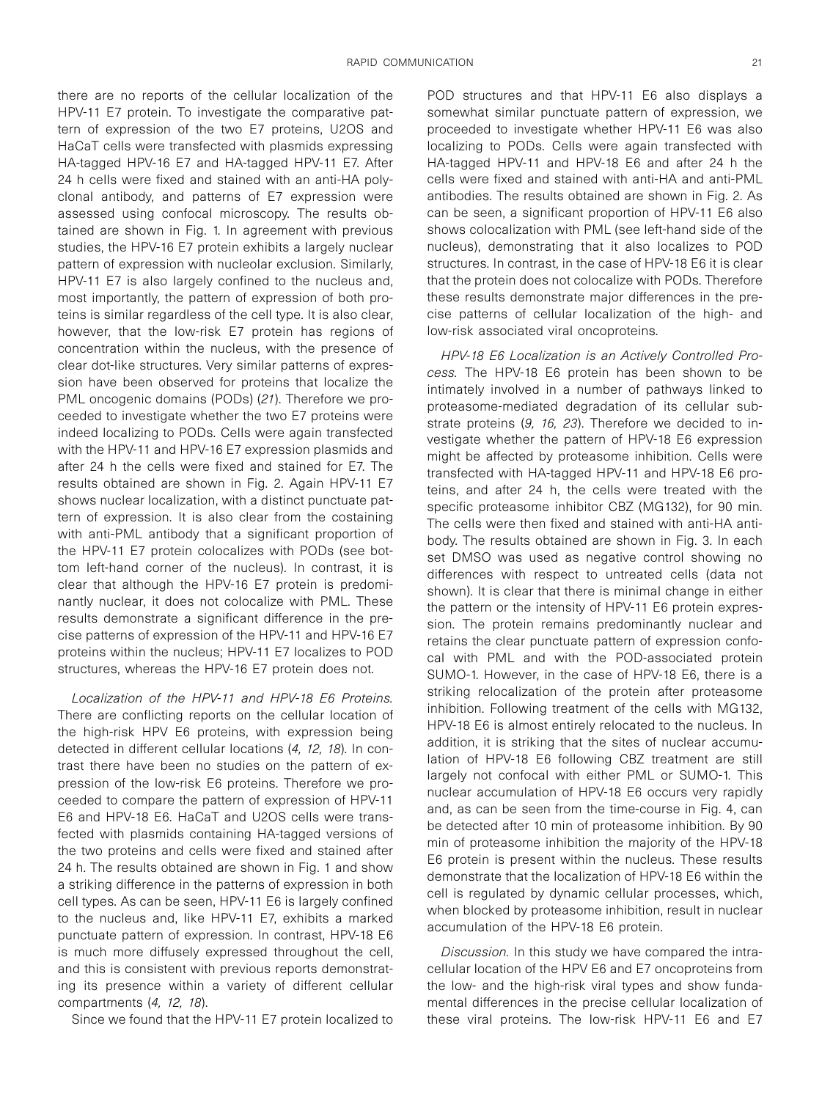there are no reports of the cellular localization of the HPV-11 E7 protein. To investigate the comparative pattern of expression of the two E7 proteins, U2OS and HaCaT cells were transfected with plasmids expressing HA-tagged HPV-16 E7 and HA-tagged HPV-11 E7. After 24 h cells were fixed and stained with an anti-HA polyclonal antibody, and patterns of E7 expression were assessed using confocal microscopy. The results obtained are shown in Fig. 1. In agreement with previous studies, the HPV-16 E7 protein exhibits a largely nuclear pattern of expression with nucleolar exclusion. Similarly, HPV-11 E7 is also largely confined to the nucleus and, most importantly, the pattern of expression of both proteins is similar regardless of the cell type. It is also clear, however, that the low-risk E7 protein has regions of concentration within the nucleus, with the presence of clear dot-like structures. Very similar patterns of expression have been observed for proteins that localize the PML oncogenic domains (PODs) (21). Therefore we proceeded to investigate whether the two E7 proteins were indeed localizing to PODs. Cells were again transfected with the HPV-11 and HPV-16 E7 expression plasmids and after 24 h the cells were fixed and stained for E7. The results obtained are shown in Fig. 2. Again HPV-11 E7 shows nuclear localization, with a distinct punctuate pattern of expression. It is also clear from the costaining with anti-PML antibody that a significant proportion of the HPV-11 E7 protein colocalizes with PODs (see bottom left-hand corner of the nucleus). In contrast, it is clear that although the HPV-16 E7 protein is predominantly nuclear, it does not colocalize with PML. These results demonstrate a significant difference in the precise patterns of expression of the HPV-11 and HPV-16 E7 proteins within the nucleus; HPV-11 E7 localizes to POD structures, whereas the HPV-16 E7 protein does not.

Localization of the HPV-11 and HPV-18 E6 Proteins. There are conflicting reports on the cellular location of the high-risk HPV E6 proteins, with expression being detected in different cellular locations (4, 12, 18). In contrast there have been no studies on the pattern of expression of the low-risk E6 proteins. Therefore we proceeded to compare the pattern of expression of HPV-11 E6 and HPV-18 E6. HaCaT and U2OS cells were transfected with plasmids containing HA-tagged versions of the two proteins and cells were fixed and stained after 24 h. The results obtained are shown in Fig. 1 and show a striking difference in the patterns of expression in both cell types. As can be seen, HPV-11 E6 is largely confined to the nucleus and, like HPV-11 E7, exhibits a marked punctuate pattern of expression. In contrast, HPV-18 E6 is much more diffusely expressed throughout the cell, and this is consistent with previous reports demonstrating its presence within a variety of different cellular compartments (4, 12, 18).

Since we found that the HPV-11 E7 protein localized to

POD structures and that HPV-11 E6 also displays a somewhat similar punctuate pattern of expression, we proceeded to investigate whether HPV-11 E6 was also localizing to PODs. Cells were again transfected with HA-tagged HPV-11 and HPV-18 E6 and after 24 h the cells were fixed and stained with anti-HA and anti-PML antibodies. The results obtained are shown in Fig. 2. As can be seen, a significant proportion of HPV-11 E6 also shows colocalization with PML (see left-hand side of the nucleus), demonstrating that it also localizes to POD structures. In contrast, in the case of HPV-18 E6 it is clear that the protein does not colocalize with PODs. Therefore these results demonstrate major differences in the precise patterns of cellular localization of the high- and low-risk associated viral oncoproteins.

HPV-18 E6 Localization is an Actively Controlled Process. The HPV-18 E6 protein has been shown to be intimately involved in a number of pathways linked to proteasome-mediated degradation of its cellular substrate proteins (9, 16, 23). Therefore we decided to investigate whether the pattern of HPV-18 E6 expression might be affected by proteasome inhibition. Cells were transfected with HA-tagged HPV-11 and HPV-18 E6 proteins, and after 24 h, the cells were treated with the specific proteasome inhibitor CBZ (MG132), for 90 min. The cells were then fixed and stained with anti-HA antibody. The results obtained are shown in Fig. 3. In each set DMSO was used as negative control showing no differences with respect to untreated cells (data not shown). It is clear that there is minimal change in either the pattern or the intensity of HPV-11 E6 protein expression. The protein remains predominantly nuclear and retains the clear punctuate pattern of expression confocal with PML and with the POD-associated protein SUMO-1. However, in the case of HPV-18 E6, there is a striking relocalization of the protein after proteasome inhibition. Following treatment of the cells with MG132, HPV-18 E6 is almost entirely relocated to the nucleus. In addition, it is striking that the sites of nuclear accumulation of HPV-18 E6 following CBZ treatment are still largely not confocal with either PML or SUMO-1. This nuclear accumulation of HPV-18 E6 occurs very rapidly and, as can be seen from the time-course in Fig. 4, can be detected after 10 min of proteasome inhibition. By 90 min of proteasome inhibition the majority of the HPV-18 E6 protein is present within the nucleus. These results demonstrate that the localization of HPV-18 E6 within the cell is regulated by dynamic cellular processes, which, when blocked by proteasome inhibition, result in nuclear accumulation of the HPV-18 E6 protein.

Discussion. In this study we have compared the intracellular location of the HPV E6 and E7 oncoproteins from the low- and the high-risk viral types and show fundamental differences in the precise cellular localization of these viral proteins. The low-risk HPV-11 E6 and E7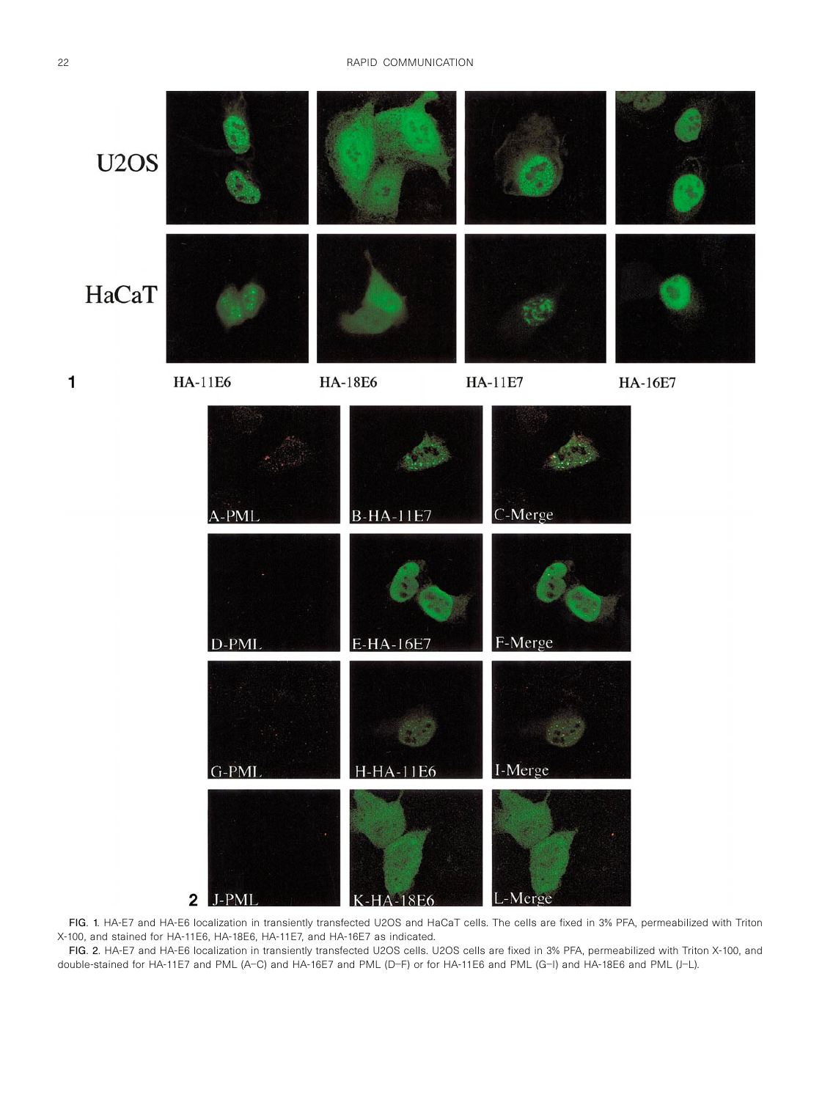

FIG. 1. HA-E7 and HA-E6 localization in transiently transfected U2OS and HaCaT cells. The cells are fixed in 3% PFA, permeabilized with Triton X-100, and stained for HA-11E6, HA-18E6, HA-11E7, and HA-16E7 as indicated.

FIG. 2. HA-E7 and HA-E6 localization in transiently transfected U2OS cells. U2OS cells are fixed in 3% PFA, permeabilized with Triton X-100, and double-stained for HA-11E7 and PML (A-C) and HA-16E7 and PML (D-F) or for HA-11E6 and PML (G-I) and HA-18E6 and PML (J-L).

1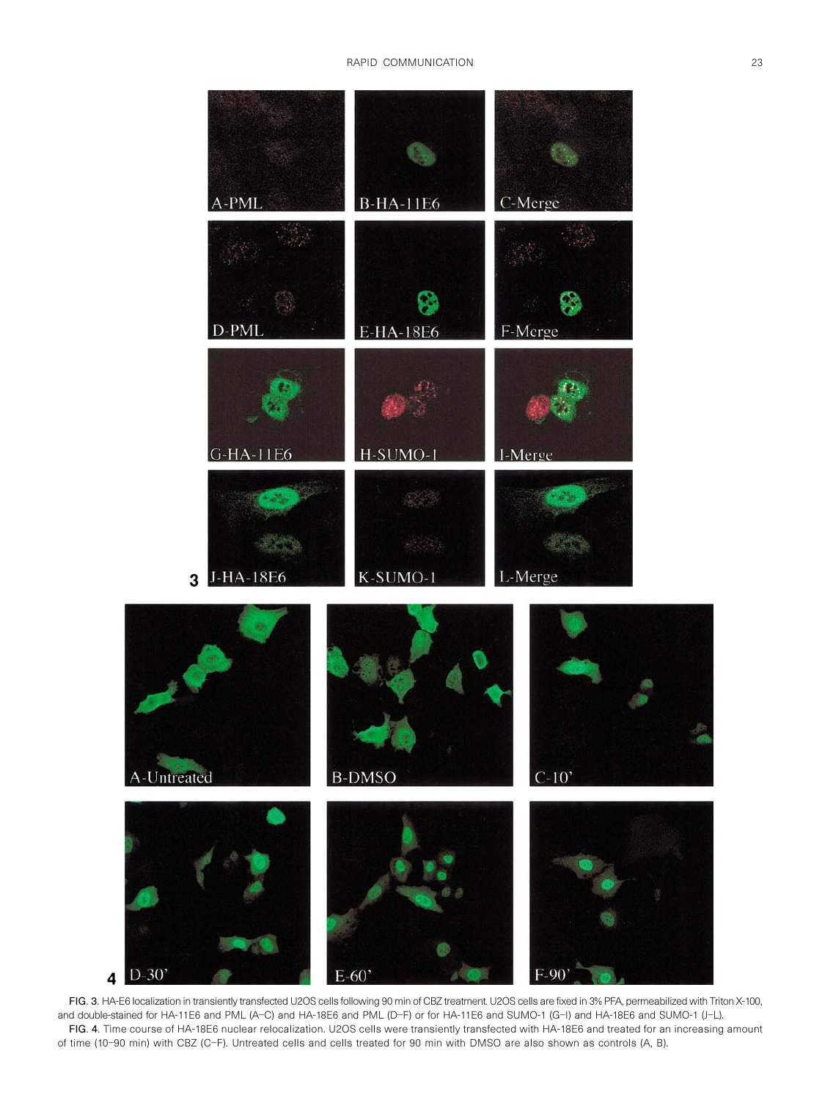![](_page_3_Figure_1.jpeg)

FIG. 3. HA-E6 localization in transiently transfected U2OS cells following 90 min of CBZ treatment. U2OS cells are fixed in 3% PFA, permeabilized with Triton X-100, and double-stained for HA-11E6 and PML (A-C) and HA-18E6 and PML (D-F) or for HA-11E6 and SUMO-1 (G-I) and HA-18E6 and SUMO-1 (J-L). FIG. 4. Time course of HA-18E6 nuclear relocalization. U2OS cells were transiently transfected with HA-18E6 and treated for an increasing amount of time (10–90 min) with CBZ (C–F). Untreated cells and cells treated for 90 min with DMSO are also shown as controls (A, B).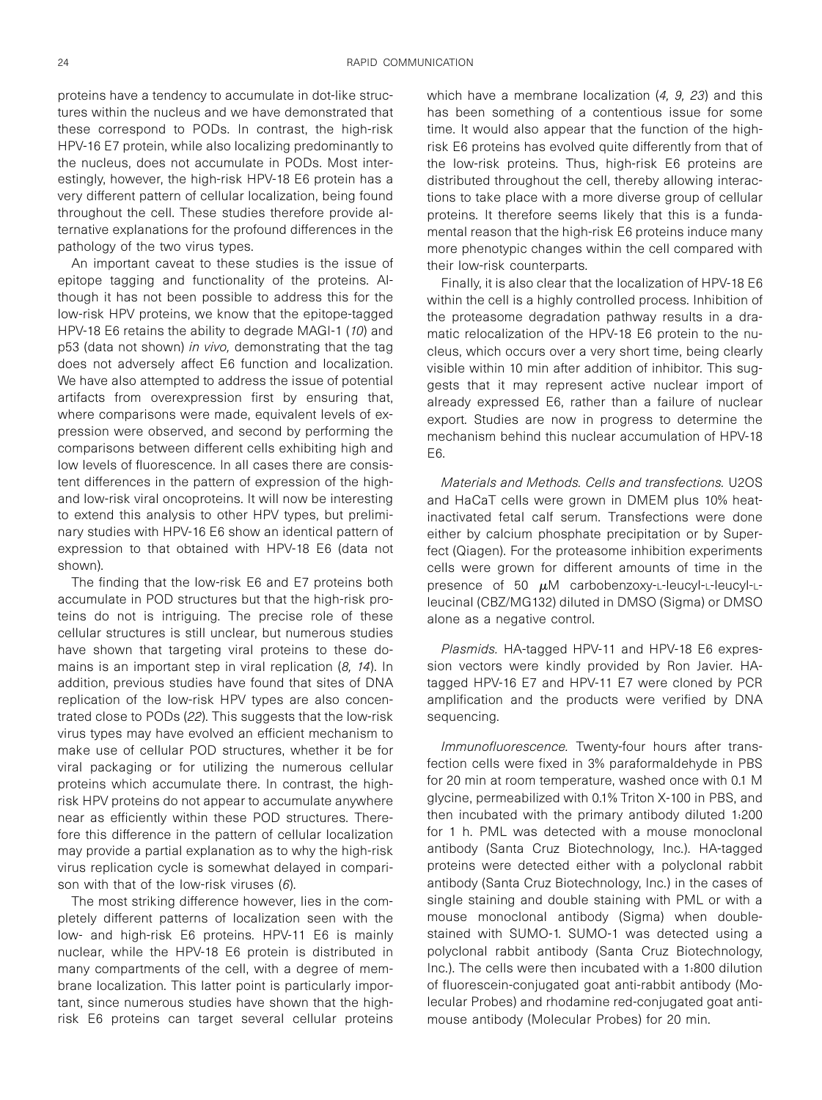proteins have a tendency to accumulate in dot-like structures within the nucleus and we have demonstrated that these correspond to PODs. In contrast, the high-risk HPV-16 E7 protein, while also localizing predominantly to the nucleus, does not accumulate in PODs. Most interestingly, however, the high-risk HPV-18 E6 protein has a very different pattern of cellular localization, being found throughout the cell. These studies therefore provide alternative explanations for the profound differences in the pathology of the two virus types.

An important caveat to these studies is the issue of epitope tagging and functionality of the proteins. Although it has not been possible to address this for the low-risk HPV proteins, we know that the epitope-tagged HPV-18 E6 retains the ability to degrade MAGI-1 (10) and p53 (data not shown) in vivo, demonstrating that the tag does not adversely affect E6 function and localization. We have also attempted to address the issue of potential artifacts from overexpression first by ensuring that, where comparisons were made, equivalent levels of expression were observed, and second by performing the comparisons between different cells exhibiting high and low levels of fluorescence. In all cases there are consistent differences in the pattern of expression of the highand low-risk viral oncoproteins. It will now be interesting to extend this analysis to other HPV types, but preliminary studies with HPV-16 E6 show an identical pattern of expression to that obtained with HPV-18 E6 (data not shown).

The finding that the low-risk E6 and E7 proteins both accumulate in POD structures but that the high-risk proteins do not is intriguing. The precise role of these cellular structures is still unclear, but numerous studies have shown that targeting viral proteins to these domains is an important step in viral replication  $(8, 14)$ . In addition, previous studies have found that sites of DNA replication of the low-risk HPV types are also concentrated close to PODs (22). This suggests that the low-risk virus types may have evolved an efficient mechanism to make use of cellular POD structures, whether it be for viral packaging or for utilizing the numerous cellular proteins which accumulate there. In contrast, the highrisk HPV proteins do not appear to accumulate anywhere near as efficiently within these POD structures. Therefore this difference in the pattern of cellular localization may provide a partial explanation as to why the high-risk virus replication cycle is somewhat delayed in comparison with that of the low-risk viruses (6).

The most striking difference however, lies in the completely different patterns of localization seen with the low- and high-risk E6 proteins. HPV-11 E6 is mainly nuclear, while the HPV-18 E6 protein is distributed in many compartments of the cell, with a degree of membrane localization. This latter point is particularly important, since numerous studies have shown that the highrisk E6 proteins can target several cellular proteins which have a membrane localization  $(4, 9, 23)$  and this has been something of a contentious issue for some time. It would also appear that the function of the highrisk E6 proteins has evolved quite differently from that of the low-risk proteins. Thus, high-risk E6 proteins are distributed throughout the cell, thereby allowing interactions to take place with a more diverse group of cellular proteins. It therefore seems likely that this is a fundamental reason that the high-risk E6 proteins induce many more phenotypic changes within the cell compared with their low-risk counterparts.

Finally, it is also clear that the localization of HPV-18 E6 within the cell is a highly controlled process. Inhibition of the proteasome degradation pathway results in a dramatic relocalization of the HPV-18 E6 protein to the nucleus, which occurs over a very short time, being clearly visible within 10 min after addition of inhibitor. This suggests that it may represent active nuclear import of already expressed E6, rather than a failure of nuclear export. Studies are now in progress to determine the mechanism behind this nuclear accumulation of HPV-18 E6.

Materials and Methods. Cells and transfections. U2OS and HaCaT cells were grown in DMEM plus 10% heatinactivated fetal calf serum. Transfections were done either by calcium phosphate precipitation or by Superfect (Qiagen). For the proteasome inhibition experiments cells were grown for different amounts of time in the presence of 50  $\mu$ M carbobenzoxy-L-leucyl-L-leucyl-Lleucinal (CBZ/MG132) diluted in DMSO (Sigma) or DMSO alone as a negative control.

Plasmids. HA-tagged HPV-11 and HPV-18 E6 expression vectors were kindly provided by Ron Javier. HAtagged HPV-16 E7 and HPV-11 E7 were cloned by PCR amplification and the products were verified by DNA sequencing.

Immunofluorescence. Twenty-four hours after transfection cells were fixed in 3% paraformaldehyde in PBS for 20 min at room temperature, washed once with 0.1 M glycine, permeabilized with 0.1% Triton X-100 in PBS, and then incubated with the primary antibody diluted 1:200 for 1 h. PML was detected with a mouse monoclonal antibody (Santa Cruz Biotechnology, Inc.). HA-tagged proteins were detected either with a polyclonal rabbit antibody (Santa Cruz Biotechnology, Inc.) in the cases of single staining and double staining with PML or with a mouse monoclonal antibody (Sigma) when doublestained with SUMO-1. SUMO-1 was detected using a polyclonal rabbit antibody (Santa Cruz Biotechnology, Inc.). The cells were then incubated with a 1:800 dilution of fluorescein-conjugated goat anti-rabbit antibody (Molecular Probes) and rhodamine red-conjugated goat antimouse antibody (Molecular Probes) for 20 min.